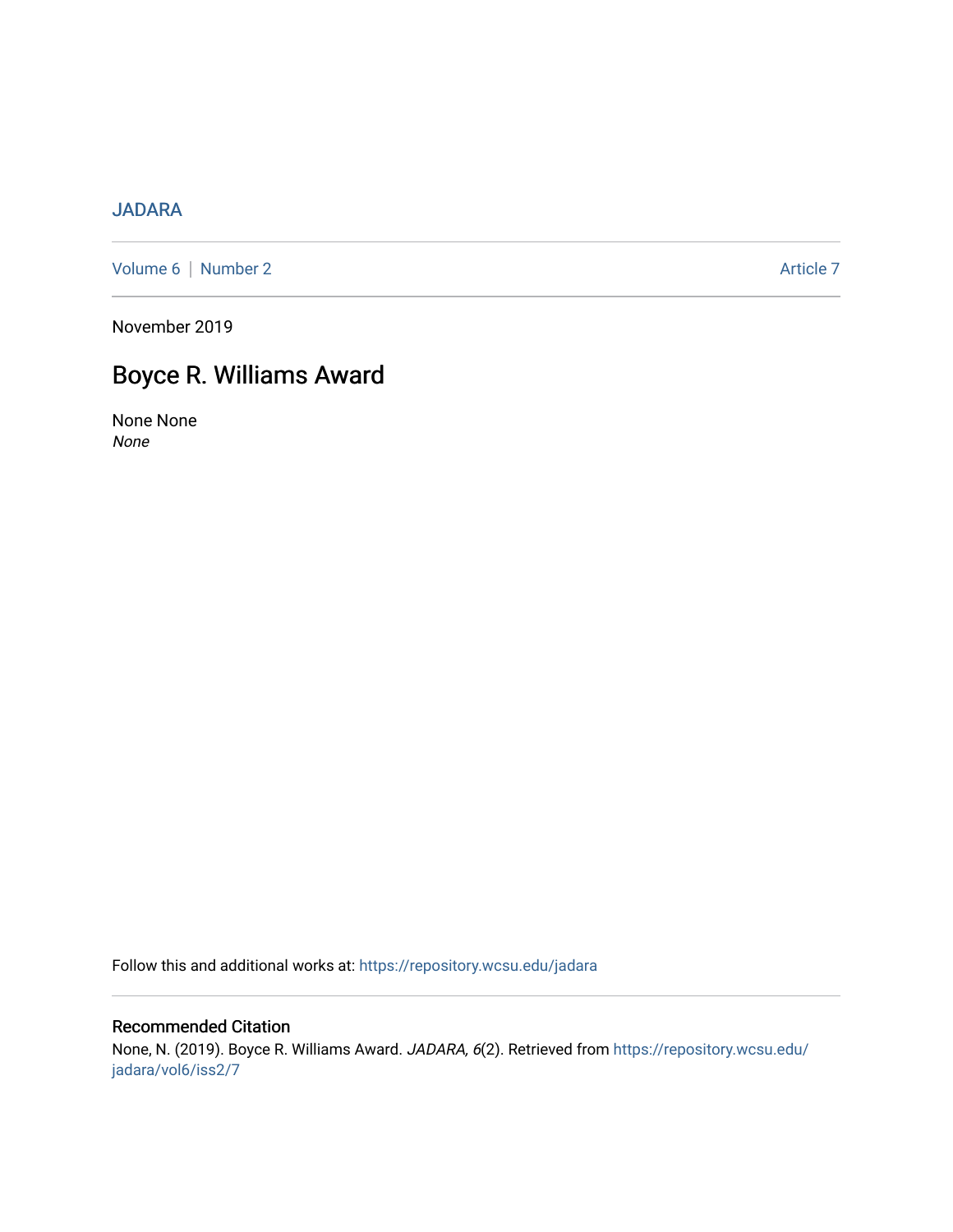### [JADARA](https://repository.wcsu.edu/jadara)

[Volume 6](https://repository.wcsu.edu/jadara/vol6) | [Number 2](https://repository.wcsu.edu/jadara/vol6/iss2) Article 7

November 2019

# Boyce R. Williams Award

None None None

Follow this and additional works at: [https://repository.wcsu.edu/jadara](https://repository.wcsu.edu/jadara?utm_source=repository.wcsu.edu%2Fjadara%2Fvol6%2Fiss2%2F7&utm_medium=PDF&utm_campaign=PDFCoverPages)

#### Recommended Citation None, N. (2019). Boyce R. Williams Award. JADARA, 6(2). Retrieved from [https://repository.wcsu.edu/](https://repository.wcsu.edu/jadara/vol6/iss2/7?utm_source=repository.wcsu.edu%2Fjadara%2Fvol6%2Fiss2%2F7&utm_medium=PDF&utm_campaign=PDFCoverPages) [jadara/vol6/iss2/7](https://repository.wcsu.edu/jadara/vol6/iss2/7?utm_source=repository.wcsu.edu%2Fjadara%2Fvol6%2Fiss2%2F7&utm_medium=PDF&utm_campaign=PDFCoverPages)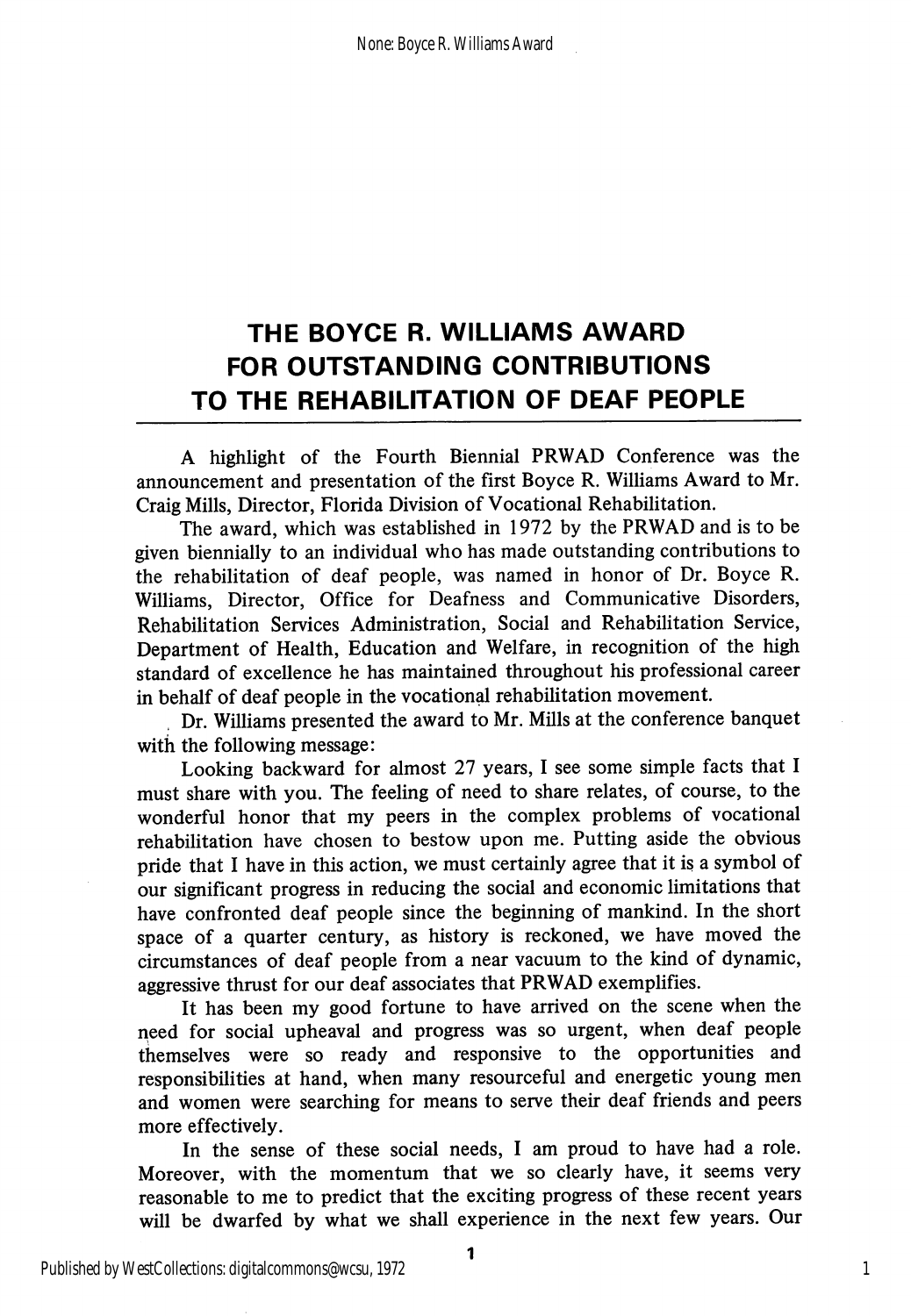## THE BOYCE R. WILLIAMS AWARD FOR OUTSTANDING CONTRIBUTIONS TO THE REHABILITATION OF DEAF PEOPLE

A highlight of the Fourth Biennial PRWAD Conference was the announcement and presentation of the first Boyce R. Williams Award to Mr. Craig Mills, Director, Florida Division of Vocational Rehabilitation.

The award, which was established in 1972 by the PRWAD and is to be given biennially to an individual who has made outstanding contributions to the rehabilitation of deaf people, was named in honor of Dr. Boyce R. Williams, Director, Office for Deafness and Communicative Disorders, Rehabilitation Services Administration, Social and Rehabilitation Service, Department of Health, Education and Welfare, in recognition of the high standard of excellence he has maintained throughout his professional career in behalf of deaf people in the vocational rehabilitation movement.

Dr. Williams presented the award to Mr. Mills at the conference banquet with the following message:

Looking backward for almost 27 years, I see some simple facts that I must share with you. The feeling of need to share relates, of course, to the wonderful honor that my peers in the complex problems of vocational rehabilitation have chosen to bestow upon me. Putting aside the obvious pride that I have in this action, we must certainly agree that it is a symbol of our significant progress in reducing the social and economic limitations that have confronted deaf people since the beginning of mankind. In the short space of a quarter century, as history is reckoned, we have moved the circumstances of deaf people from a near vacuum to the kind of dynamic, aggressive thrust for our deaf associates that PRWAD exemplifies.

It has been my good fortune to have arrived on the scene when the need for social upheaval and progress was so urgent, when deaf people themselves were so ready and responsive to the opportunities and responsibilities at hand, when many resourceful and energetic young men and women were searching for means to serve their deaf friends and peers more effectively.

In the sense of these social needs, I am proud to have had a role. Moreover, with the momentum that we so clearly have, it seems very reasonable to me to predict that the exciting progress of these recent years will be dwarfed by what we shall experience in the next few years. Our

1